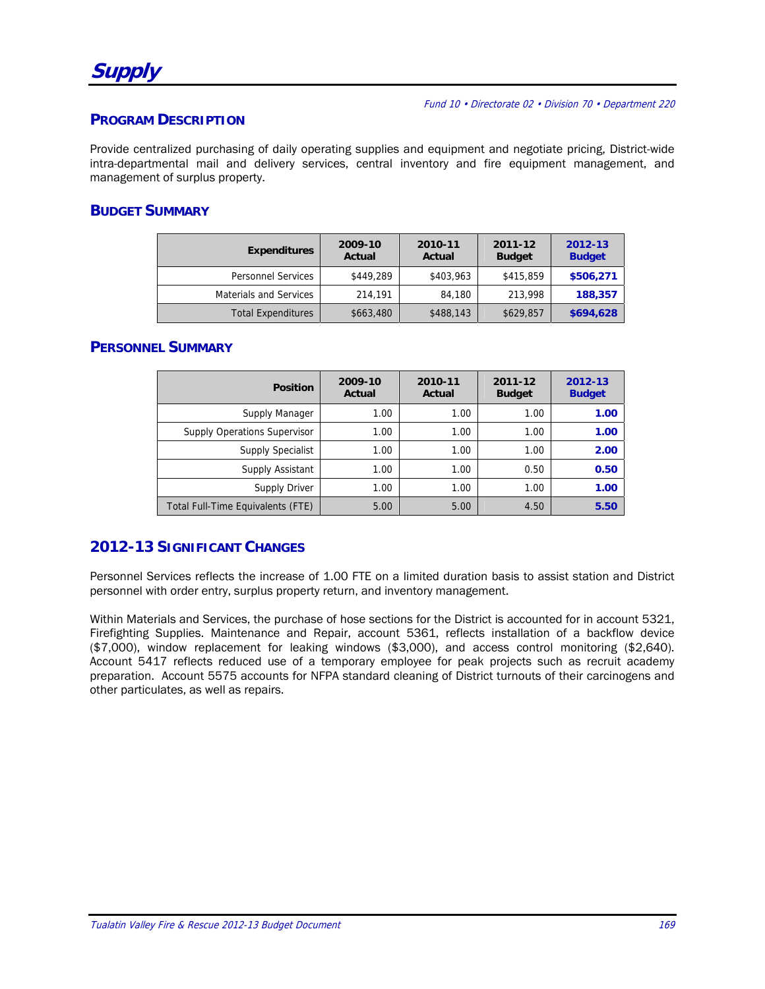**Supply** 

Fund 10 • Directorate 02 • Division 70 • Department 220

### **PROGRAM DESCRIPTION**

Provide centralized purchasing of daily operating supplies and equipment and negotiate pricing, District-wide intra-departmental mail and delivery services, central inventory and fire equipment management, and management of surplus property.

### **BUDGET SUMMARY**

| <b>Expenditures</b>           | 2009-10<br>Actual | 2010-11<br>Actual | 2011-12<br><b>Budget</b> | 2012-13<br><b>Budget</b> |
|-------------------------------|-------------------|-------------------|--------------------------|--------------------------|
| <b>Personnel Services</b>     | \$449,289         | \$403,963         | \$415,859                | \$506,271                |
| <b>Materials and Services</b> | 214,191           | 84,180            | 213,998                  | 188,357                  |
| <b>Total Expenditures</b>     | \$663,480         | \$488,143         | \$629,857                | \$694,628                |

## **PERSONNEL SUMMARY**

| <b>Position</b>                     | 2009-10<br>Actual | 2010-11<br>Actual | 2011-12<br><b>Budget</b> | 2012-13<br><b>Budget</b> |
|-------------------------------------|-------------------|-------------------|--------------------------|--------------------------|
| Supply Manager                      | 1.00              | 1.00              | 1.00                     | 1.00                     |
| <b>Supply Operations Supervisor</b> | 1.00              | 1.00              | 1.00                     | 1.00                     |
| <b>Supply Specialist</b>            | 1.00              | 1.00              | 1.00                     | 2.00                     |
| Supply Assistant                    | 1.00              | 1.00              | 0.50                     | 0.50                     |
| Supply Driver                       | 1.00              | 1.00              | 1.00                     | 1.00                     |
| Total Full-Time Equivalents (FTE)   | 5.00              | 5.00              | 4.50                     | 5.50                     |

## **2012-13 SIGNIFICANT CHANGES**

Personnel Services reflects the increase of 1.00 FTE on a limited duration basis to assist station and District personnel with order entry, surplus property return, and inventory management.

Within Materials and Services, the purchase of hose sections for the District is accounted for in account 5321, Firefighting Supplies. Maintenance and Repair, account 5361, reflects installation of a backflow device (\$7,000), window replacement for leaking windows (\$3,000), and access control monitoring (\$2,640). Account 5417 reflects reduced use of a temporary employee for peak projects such as recruit academy preparation. Account 5575 accounts for NFPA standard cleaning of District turnouts of their carcinogens and other particulates, as well as repairs.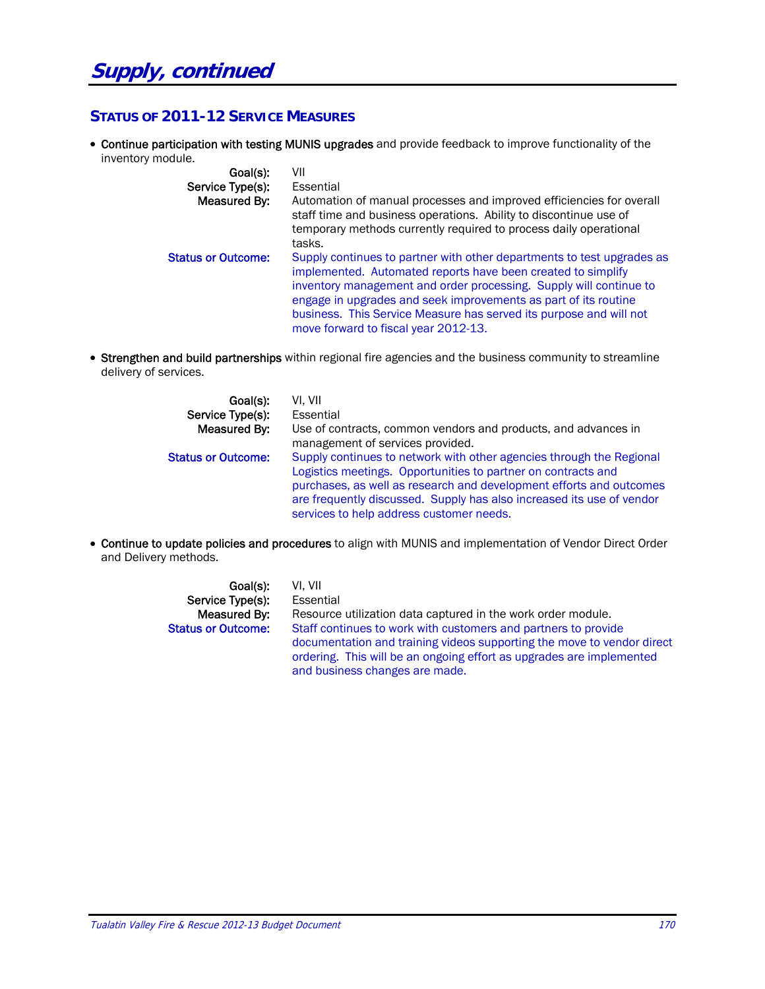# **STATUS OF 2011-12 SERVICE MEASURES**

 Continue participation with testing MUNIS upgrades and provide feedback to improve functionality of the inventory module.

| Goal(s):<br>Service Type(s):<br>Measured By: | VII<br>Essential<br>Automation of manual processes and improved efficiencies for overall<br>staff time and business operations. Ability to discontinue use of<br>temporary methods currently required to process daily operational<br>tasks.                                                                                                                                                  |
|----------------------------------------------|-----------------------------------------------------------------------------------------------------------------------------------------------------------------------------------------------------------------------------------------------------------------------------------------------------------------------------------------------------------------------------------------------|
| <b>Status or Outcome:</b>                    | Supply continues to partner with other departments to test upgrades as<br>implemented. Automated reports have been created to simplify<br>inventory management and order processing. Supply will continue to<br>engage in upgrades and seek improvements as part of its routine<br>business. This Service Measure has served its purpose and will not<br>move forward to fiscal year 2012-13. |

• Strengthen and build partnerships within regional fire agencies and the business community to streamline delivery of services.

| Goal(s):                  | VI. VII                                                                                                                                                                                                                                                                                                                           |
|---------------------------|-----------------------------------------------------------------------------------------------------------------------------------------------------------------------------------------------------------------------------------------------------------------------------------------------------------------------------------|
| Service Type(s):          | Essential                                                                                                                                                                                                                                                                                                                         |
| Measured By:              | Use of contracts, common vendors and products, and advances in<br>management of services provided.                                                                                                                                                                                                                                |
| <b>Status or Outcome:</b> | Supply continues to network with other agencies through the Regional<br>Logistics meetings. Opportunities to partner on contracts and<br>purchases, as well as research and development efforts and outcomes<br>are frequently discussed. Supply has also increased its use of vendor<br>services to help address customer needs. |

 Continue to update policies and procedures to align with MUNIS and implementation of Vendor Direct Order and Delivery methods.

| Goal(s):                  | VI. VII                                                                                                                                                                          |
|---------------------------|----------------------------------------------------------------------------------------------------------------------------------------------------------------------------------|
| Service Type(s):          | Essential                                                                                                                                                                        |
| Measured By:              | Resource utilization data captured in the work order module.                                                                                                                     |
| <b>Status or Outcome:</b> | Staff continues to work with customers and partners to provide                                                                                                                   |
|                           | documentation and training videos supporting the move to vendor direct<br>ordering. This will be an ongoing effort as upgrades are implemented<br>and business changes are made. |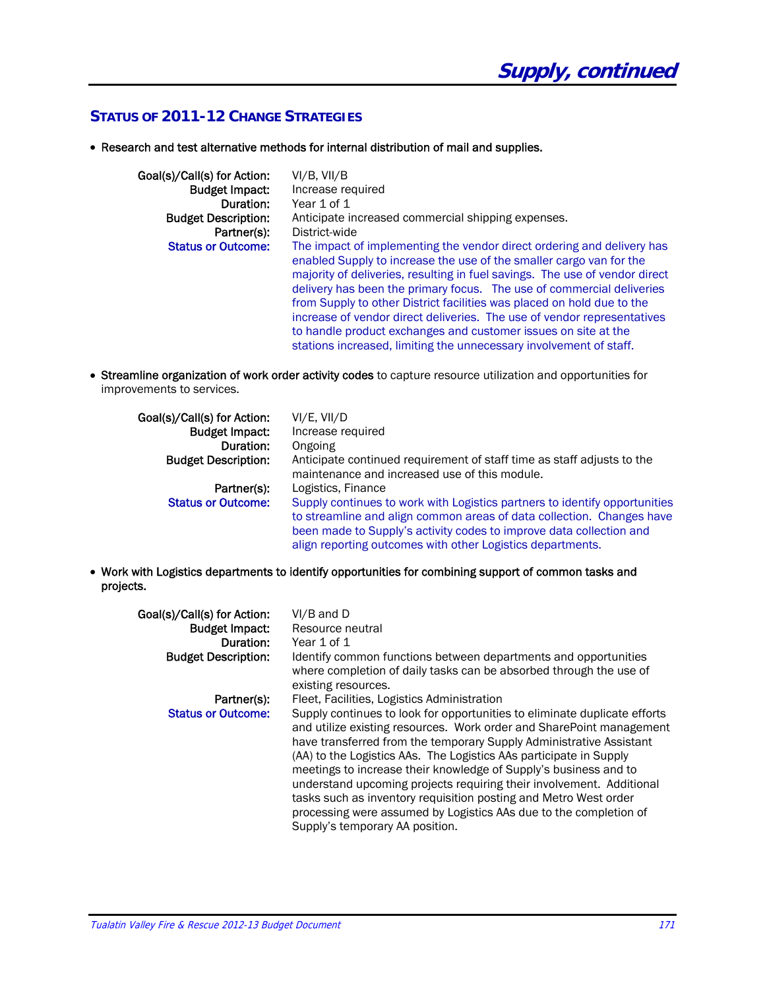# **STATUS OF 2011-12 CHANGE STRATEGIES**

Research and test alternative methods for internal distribution of mail and supplies.

| Goal(s)/Call(s) for Action: | VI/B, VII/B                                                                                                                                                                                                                                                                                                                                                                                                                                                                                                                                                                                        |
|-----------------------------|----------------------------------------------------------------------------------------------------------------------------------------------------------------------------------------------------------------------------------------------------------------------------------------------------------------------------------------------------------------------------------------------------------------------------------------------------------------------------------------------------------------------------------------------------------------------------------------------------|
| <b>Budget Impact:</b>       | Increase required                                                                                                                                                                                                                                                                                                                                                                                                                                                                                                                                                                                  |
| Duration:                   | Year 1 of 1                                                                                                                                                                                                                                                                                                                                                                                                                                                                                                                                                                                        |
| <b>Budget Description:</b>  | Anticipate increased commercial shipping expenses.                                                                                                                                                                                                                                                                                                                                                                                                                                                                                                                                                 |
| Partner(s):                 | District-wide                                                                                                                                                                                                                                                                                                                                                                                                                                                                                                                                                                                      |
| <b>Status or Outcome:</b>   | The impact of implementing the vendor direct ordering and delivery has<br>enabled Supply to increase the use of the smaller cargo van for the<br>majority of deliveries, resulting in fuel savings. The use of vendor direct<br>delivery has been the primary focus. The use of commercial deliveries<br>from Supply to other District facilities was placed on hold due to the<br>increase of vendor direct deliveries. The use of vendor representatives<br>to handle product exchanges and customer issues on site at the<br>stations increased, limiting the unnecessary involvement of staff. |

 Streamline organization of work order activity codes to capture resource utilization and opportunities for improvements to services.

| Goal(s)/Call(s) for Action:<br><b>Budget Impact:</b><br>Duration: | VI/E, VII/D<br>Increase required<br>Ongoing                                                                                                                                                                                                                                              |
|-------------------------------------------------------------------|------------------------------------------------------------------------------------------------------------------------------------------------------------------------------------------------------------------------------------------------------------------------------------------|
| <b>Budget Description:</b>                                        | Anticipate continued requirement of staff time as staff adjusts to the<br>maintenance and increased use of this module.                                                                                                                                                                  |
| Partner(s):                                                       | Logistics, Finance                                                                                                                                                                                                                                                                       |
| <b>Status or Outcome:</b>                                         | Supply continues to work with Logistics partners to identify opportunities<br>to streamline and align common areas of data collection. Changes have<br>been made to Supply's activity codes to improve data collection and<br>align reporting outcomes with other Logistics departments. |

 Work with Logistics departments to identify opportunities for combining support of common tasks and projects.

| Goal(s)/Call(s) for Action:<br><b>Budget Impact:</b><br>Duration:<br><b>Budget Description:</b> | $VI/B$ and $D$<br>Resource neutral<br>Year 1 of 1<br>Identify common functions between departments and opportunities<br>where completion of daily tasks can be absorbed through the use of<br>existing resources.                                                                                                                                                                                                                                                                                                                                                                                                                                                     |
|-------------------------------------------------------------------------------------------------|-----------------------------------------------------------------------------------------------------------------------------------------------------------------------------------------------------------------------------------------------------------------------------------------------------------------------------------------------------------------------------------------------------------------------------------------------------------------------------------------------------------------------------------------------------------------------------------------------------------------------------------------------------------------------|
| Partner(s):<br><b>Status or Outcome:</b>                                                        | Fleet, Facilities, Logistics Administration<br>Supply continues to look for opportunities to eliminate duplicate efforts<br>and utilize existing resources. Work order and SharePoint management<br>have transferred from the temporary Supply Administrative Assistant<br>(AA) to the Logistics AAs. The Logistics AAs participate in Supply<br>meetings to increase their knowledge of Supply's business and to<br>understand upcoming projects requiring their involvement. Additional<br>tasks such as inventory requisition posting and Metro West order<br>processing were assumed by Logistics AAs due to the completion of<br>Supply's temporary AA position. |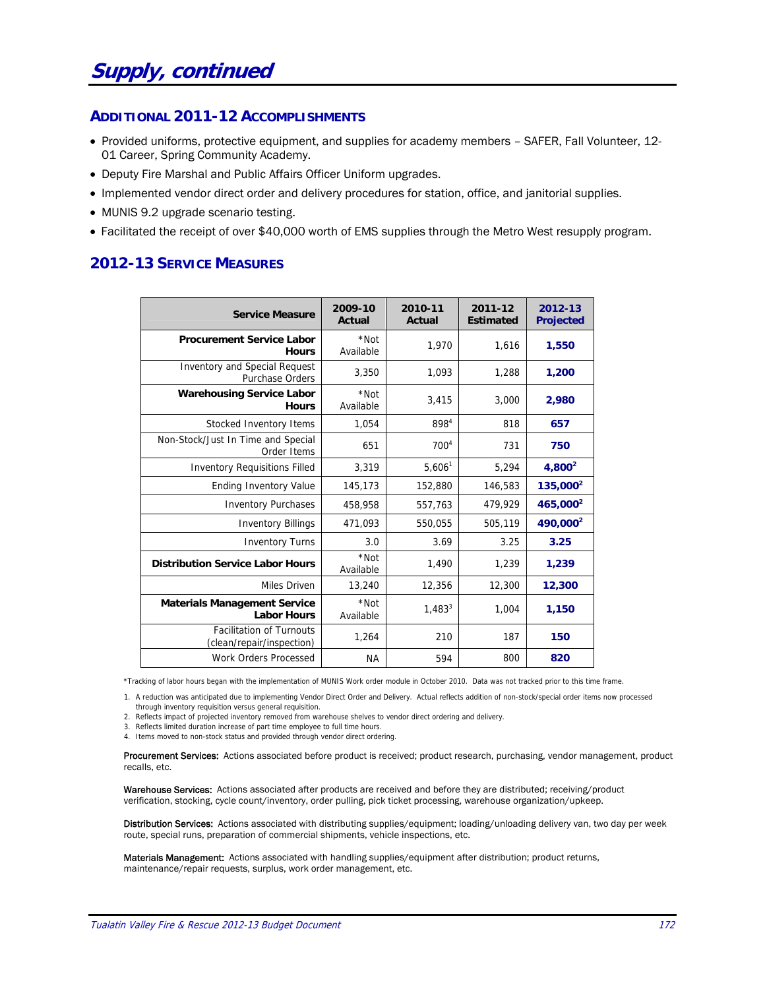#### **ADDITIONAL 2011-12 ACCOMPLISHMENTS**

- Provided uniforms, protective equipment, and supplies for academy members SAFER, Fall Volunteer, 12- 01 Career, Spring Community Academy.
- Deputy Fire Marshal and Public Affairs Officer Uniform upgrades.
- Implemented vendor direct order and delivery procedures for station, office, and janitorial supplies.
- MUNIS 9.2 upgrade scenario testing.
- Facilitated the receipt of over \$40,000 worth of EMS supplies through the Metro West resupply program.

# **2012-13 SERVICE MEASURES**

| <b>Service Measure</b>                                         | 2009-10<br><b>Actual</b> | 2010-11<br>Actual | 2011-12<br><b>Estimated</b> | 2012-13<br><b>Projected</b> |
|----------------------------------------------------------------|--------------------------|-------------------|-----------------------------|-----------------------------|
| <b>Procurement Service Labor</b><br><b>Hours</b>               | *Not<br>Available        | 1.970             | 1,616                       | 1,550                       |
| <b>Inventory and Special Request</b><br><b>Purchase Orders</b> | 3,350                    | 1,093             | 1,288                       | 1,200                       |
| <b>Warehousing Service Labor</b><br><b>Hours</b>               | *Not<br>Available        | 3,415             | 3,000                       | 2,980                       |
| Stocked Inventory Items                                        | 1,054                    | 8984              | 818                         | 657                         |
| Non-Stock/Just In Time and Special<br>Order Items              | 651                      | 700 <sup>4</sup>  | 731                         | 750                         |
| <b>Inventory Requisitions Filled</b>                           | 3,319                    | $5,606^1$         | 5,294                       | $4,800^2$                   |
| <b>Ending Inventory Value</b>                                  | 145,173                  | 152,880           | 146,583                     | $135,000^2$                 |
| <b>Inventory Purchases</b>                                     | 458,958                  | 557,763           | 479,929                     | 465,000 <sup>2</sup>        |
| <b>Inventory Billings</b>                                      | 471,093                  | 550,055           | 505,119                     | 490,000 <sup>2</sup>        |
| <b>Inventory Turns</b>                                         | 3.0                      | 3.69              | 3.25                        | 3.25                        |
| <b>Distribution Service Labor Hours</b>                        | *Not<br>Available        | 1,490             | 1,239                       | 1,239                       |
| Miles Driven                                                   | 13,240                   | 12,356            | 12,300                      | 12,300                      |
| <b>Materials Management Service</b><br><b>Labor Hours</b>      | *Not<br>Available        | $1,483^{3}$       | 1,004                       | 1,150                       |
| <b>Facilitation of Turnouts</b><br>(clean/repair/inspection)   | 1,264                    | 210               | 187                         | 150                         |
| <b>Work Orders Processed</b>                                   | ΝA                       | 594               | 800                         | 820                         |

\*Tracking of labor hours began with the implementation of MUNIS Work order module in October 2010. Data was not tracked prior to this time frame.

1. A reduction was anticipated due to implementing Vendor Direct Order and Delivery. Actual reflects addition of non-stock/special order items now processed

through inventory requisition versus general requisition. 2. Reflects impact of projected inventory removed from warehouse shelves to vendor direct ordering and delivery.

3. Reflects limited duration increase of part time employee to full time hours.

4. Items moved to non-stock status and provided through vendor direct ordering.

Procurement Services: Actions associated before product is received; product research, purchasing, vendor management, product recalls, etc.

Warehouse Services: Actions associated after products are received and before they are distributed; receiving/product verification, stocking, cycle count/inventory, order pulling, pick ticket processing, warehouse organization/upkeep.

Distribution Services: Actions associated with distributing supplies/equipment; loading/unloading delivery van, two day per week route, special runs, preparation of commercial shipments, vehicle inspections, etc.

Materials Management: Actions associated with handling supplies/equipment after distribution; product returns, maintenance/repair requests, surplus, work order management, etc.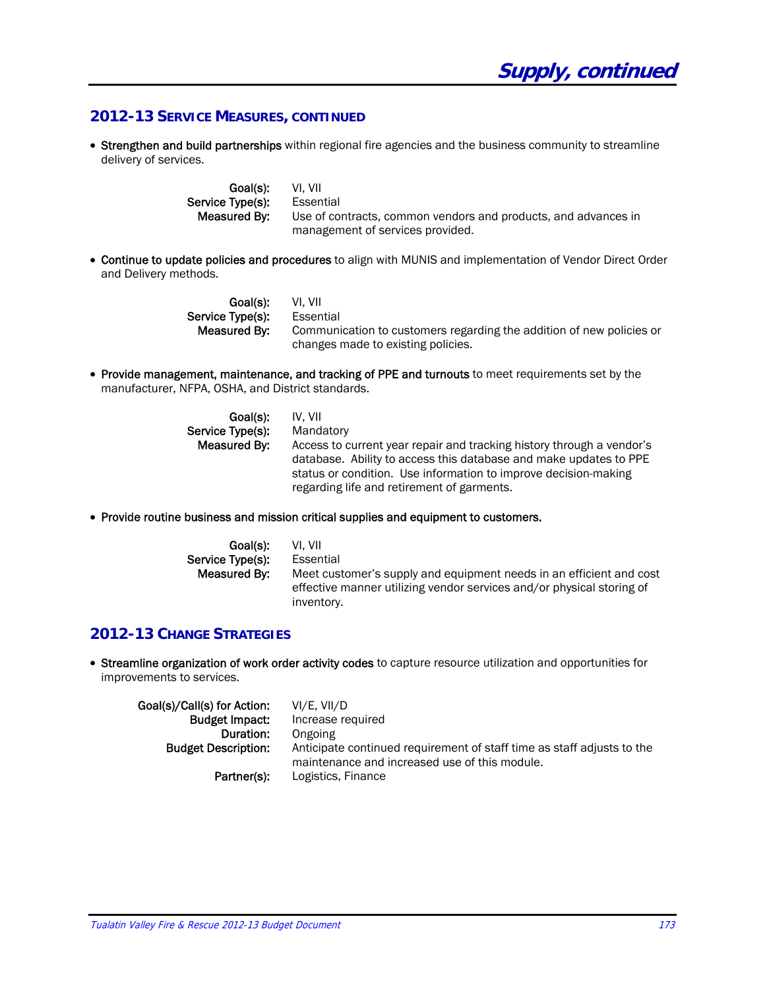## **2012-13 SERVICE MEASURES, CONTINUED**

• Strengthen and build partnerships within regional fire agencies and the business community to streamline delivery of services.

| Goal(s):         | VL VII                                                         |
|------------------|----------------------------------------------------------------|
| Service Tvpe(s): | Essential                                                      |
| Measured Bv:     | Use of contracts, common vendors and products, and advances in |
|                  | management of services provided.                               |

 Continue to update policies and procedures to align with MUNIS and implementation of Vendor Direct Order and Delivery methods.

| Goal(s):         | VI. VII                                                              |
|------------------|----------------------------------------------------------------------|
| Service Type(s): | Essential                                                            |
| Measured By:     | Communication to customers regarding the addition of new policies or |
|                  | changes made to existing policies.                                   |

 Provide management, maintenance, and tracking of PPE and turnouts to meet requirements set by the manufacturer, NFPA, OSHA, and District standards.

| Goal(s):         | IV. VII                                                                                                                                                                                                                                                     |
|------------------|-------------------------------------------------------------------------------------------------------------------------------------------------------------------------------------------------------------------------------------------------------------|
| Service Type(s): | Mandatory                                                                                                                                                                                                                                                   |
| Measured By:     | Access to current year repair and tracking history through a vendor's<br>database. Ability to access this database and make updates to PPE<br>status or condition. Use information to improve decision-making<br>regarding life and retirement of garments. |

Provide routine business and mission critical supplies and equipment to customers.

| Goal(s):         | VI. VII                                                               |
|------------------|-----------------------------------------------------------------------|
| Service Type(s): | Essential                                                             |
| Measured By:     | Meet customer's supply and equipment needs in an efficient and cost   |
|                  | effective manner utilizing vendor services and/or physical storing of |
|                  | inventory.                                                            |

### **2012-13 CHANGE STRATEGIES**

 Streamline organization of work order activity codes to capture resource utilization and opportunities for improvements to services.

| Goal(s)/Call(s) for Action: | VI/E. VII/D                                                                                                             |
|-----------------------------|-------------------------------------------------------------------------------------------------------------------------|
| <b>Budget Impact:</b>       | Increase required                                                                                                       |
| Duration:                   | Ongoing                                                                                                                 |
| <b>Budget Description:</b>  | Anticipate continued requirement of staff time as staff adjusts to the<br>maintenance and increased use of this module. |
| Partner(s):                 | Logistics, Finance                                                                                                      |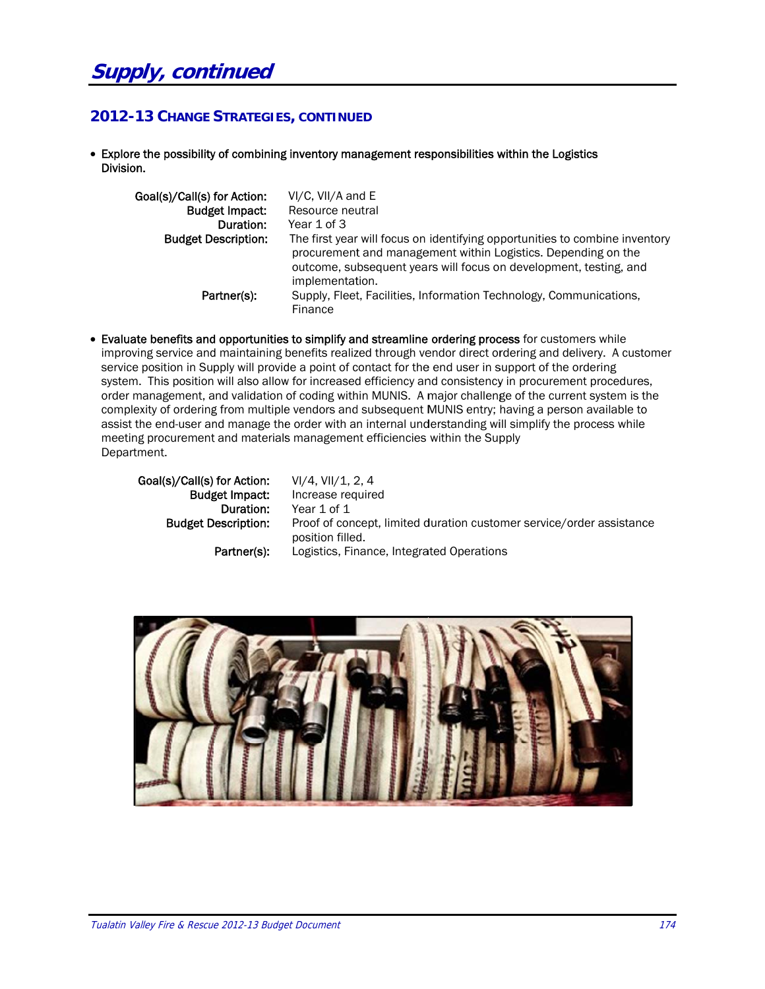# **2012-13 CHANGE STRATEGIES, CONTINUED**

• Explore the possibility of combining inventory management responsibilities within the Logistics Division .

| Goal(s)/Call(s) for Action:<br><b>Budget Impact:</b> | VI/C, VII/A and E<br>Resource neutral                                                                                                                                                                                                |
|------------------------------------------------------|--------------------------------------------------------------------------------------------------------------------------------------------------------------------------------------------------------------------------------------|
| Duration:                                            | Year 1 of 3                                                                                                                                                                                                                          |
| <b>Budget Description:</b>                           | The first year will focus on identifying opportunities to combine inventory<br>procurement and management within Logistics. Depending on the<br>outcome, subsequent years will focus on development, testing, and<br>implementation. |
| Partner(s):                                          | Supply, Fleet, Facilities, Information Technology, Communications,<br>Finance                                                                                                                                                        |
|                                                      | Evaluate benefits and opportunities to simplify and streamline ordering process for customers while<br>improving service and maintaining benefits realized through vendor direct ordering and delivery. A customer                   |

• Evaluate benefits and opportunities to simplify and streamline ordering process for customers while service position in Supply will provide a point of contact for the end user in support of the ordering system. This position will also allow for increased efficiency and consistency in procurement procedures, order management, and validation of coding within MUNIS. A major challenge of the current system is the complexity of ordering from multiple vendors and subsequent MUNIS entry; having a person available to assist the end-user and manage the order with an internal understanding will simplify the process while meeting procurement and materials management efficiencies within the Supply Departm ment. to<br>e<br>nce

Goal(s)/Call(s) for Action: Budg get Impact: Budget D escription: Duration: Partner(s): VI/4, VII/1, 2 2, 4 Increase req uired Year 1 of 1 Proof of concept, limited duration customer service/order assistanc position filled d. Logistics, Finance, Integrated Operations

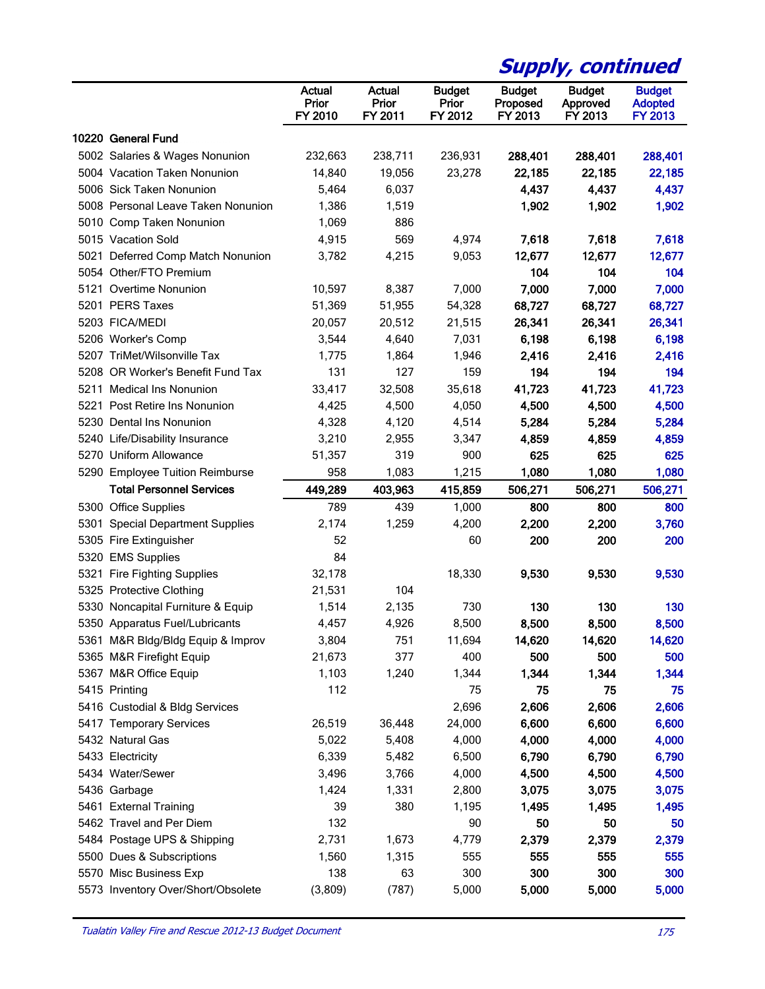|                                    |                            |                            |                                   |                                      | <b>Supply, continued</b>             |                                                   |
|------------------------------------|----------------------------|----------------------------|-----------------------------------|--------------------------------------|--------------------------------------|---------------------------------------------------|
|                                    | Actual<br>Prior<br>FY 2010 | Actual<br>Prior<br>FY 2011 | <b>Budget</b><br>Prior<br>FY 2012 | <b>Budget</b><br>Proposed<br>FY 2013 | <b>Budget</b><br>Approved<br>FY 2013 | <b>Budget</b><br><b>Adopted</b><br><b>FY 2013</b> |
| 10220 General Fund                 |                            |                            |                                   |                                      |                                      |                                                   |
| 5002 Salaries & Wages Nonunion     | 232,663                    | 238,711                    | 236,931                           | 288,401                              | 288,401                              | 288,401                                           |
| 5004 Vacation Taken Nonunion       | 14,840                     | 19,056                     | 23,278                            | 22,185                               | 22,185                               | 22,185                                            |
| 5006 Sick Taken Nonunion           | 5,464                      | 6,037                      |                                   | 4,437                                | 4,437                                | 4,437                                             |
| 5008 Personal Leave Taken Nonunion | 1,386                      | 1,519                      |                                   | 1,902                                | 1,902                                | 1,902                                             |
| 5010 Comp Taken Nonunion           | 1,069                      | 886                        |                                   |                                      |                                      |                                                   |
| 5015 Vacation Sold                 | 4,915                      | 569                        | 4,974                             | 7,618                                | 7,618                                | 7,618                                             |
| 5021 Deferred Comp Match Nonunion  | 3,782                      | 4,215                      | 9,053                             | 12,677                               | 12,677                               | 12,677                                            |
| 5054 Other/FTO Premium             |                            |                            |                                   | 104                                  | 104                                  | 104                                               |
| 5121 Overtime Nonunion             | 10,597                     | 8,387                      | 7,000                             | 7,000                                | 7,000                                | 7,000                                             |
| 5201 PERS Taxes                    | 51,369                     | 51,955                     | 54,328                            | 68,727                               | 68,727                               | 68,727                                            |
| 5203 FICA/MEDI                     | 20,057                     | 20,512                     | 21,515                            | 26,341                               | 26,341                               | 26,341                                            |
| 5206 Worker's Comp                 | 3,544                      | 4,640                      | 7,031                             | 6,198                                | 6,198                                | 6,198                                             |
| 5207 TriMet/Wilsonville Tax        | 1,775                      | 1,864                      | 1,946                             | 2,416                                | 2,416                                | 2,416                                             |
| 5208 OR Worker's Benefit Fund Tax  | 131                        | 127                        | 159                               | 194                                  | 194                                  | 194                                               |
| 5211 Medical Ins Nonunion          | 33,417                     | 32,508                     | 35,618                            | 41,723                               | 41,723                               | 41,723                                            |
| 5221 Post Retire Ins Nonunion      | 4,425                      | 4,500                      | 4,050                             | 4,500                                | 4,500                                | 4,500                                             |
| 5230 Dental Ins Nonunion           | 4,328                      | 4,120                      | 4,514                             | 5,284                                | 5,284                                | 5,284                                             |
| 5240 Life/Disability Insurance     | 3,210                      | 2,955                      | 3,347                             | 4,859                                | 4,859                                | 4,859                                             |
| 5270 Uniform Allowance             | 51,357                     | 319                        | 900                               | 625                                  | 625                                  | 625                                               |
| 5290 Employee Tuition Reimburse    | 958                        | 1,083                      | 1,215                             | 1,080                                | 1,080                                | 1,080                                             |
| <b>Total Personnel Services</b>    |                            | 403,963                    |                                   |                                      |                                      |                                                   |
|                                    | 449,289                    |                            | 415,859                           | 506,271                              | 506,271                              | 506,271                                           |
| 5300 Office Supplies               | 789                        | 439                        | 1,000                             | 800                                  | 800                                  | 800                                               |
| 5301 Special Department Supplies   | 2,174                      | 1,259                      | 4,200                             | 2,200                                | 2,200                                | 3,760                                             |
| 5305 Fire Extinguisher             | 52                         |                            | 60                                | 200                                  | 200                                  | 200                                               |
| 5320 EMS Supplies                  | 84                         |                            |                                   |                                      |                                      |                                                   |
| 5321 Fire Fighting Supplies        | 32,178                     |                            | 18,330                            | 9,530                                | 9,530                                | 9,530                                             |
| 5325 Protective Clothing           | 21,531                     | 104                        |                                   |                                      |                                      |                                                   |
| 5330 Noncapital Furniture & Equip  | 1,514                      | 2,135                      | 730                               | 130                                  | 130                                  | 130                                               |
| 5350 Apparatus Fuel/Lubricants     | 4,457                      | 4,926                      | 8,500                             | 8,500                                | 8,500                                | 8,500                                             |
| 5361 M&R Bldg/Bldg Equip & Improv  | 3,804                      | 751                        | 11,694                            | 14,620                               | 14,620                               | 14,620                                            |
| 5365 M&R Firefight Equip           | 21,673                     | 377                        | 400                               | 500                                  | 500                                  | 500                                               |
| 5367 M&R Office Equip              | 1,103                      | 1,240                      | 1,344                             | 1,344                                | 1,344                                | 1,344                                             |
| 5415 Printing                      | 112                        |                            | 75                                | 75                                   | 75                                   | 75                                                |
| 5416 Custodial & Bldg Services     |                            |                            | 2,696                             | 2,606                                | 2,606                                | 2,606                                             |
| 5417 Temporary Services            | 26,519                     | 36,448                     | 24,000                            | 6,600                                | 6,600                                | 6,600                                             |
| 5432 Natural Gas                   | 5,022                      | 5,408                      | 4,000                             | 4,000                                | 4,000                                | 4,000                                             |
| 5433 Electricity                   | 6,339                      | 5,482                      | 6,500                             | 6,790                                | 6,790                                | 6,790                                             |
| 5434 Water/Sewer                   | 3,496                      | 3,766                      | 4,000                             | 4,500                                | 4,500                                | 4,500                                             |
| 5436 Garbage                       | 1,424                      | 1,331                      | 2,800                             | 3,075                                | 3,075                                | 3,075                                             |
| 5461 External Training             | 39                         | 380                        | 1,195                             | 1,495                                | 1,495                                | 1,495                                             |
| 5462 Travel and Per Diem           | 132                        |                            | 90                                | 50                                   | 50                                   | 50                                                |
| 5484 Postage UPS & Shipping        | 2,731                      | 1,673                      | 4,779                             | 2,379                                | 2,379                                | 2,379                                             |
| 5500 Dues & Subscriptions          | 1,560                      | 1,315                      | 555                               | 555                                  | 555                                  | 555                                               |
| 5570 Misc Business Exp             | 138                        | 63                         | 300                               | 300                                  | 300                                  | 300                                               |
| 5573 Inventory Over/Short/Obsolete | (3,809)                    | (787)                      | 5,000                             | 5,000                                | 5,000                                | 5,000                                             |